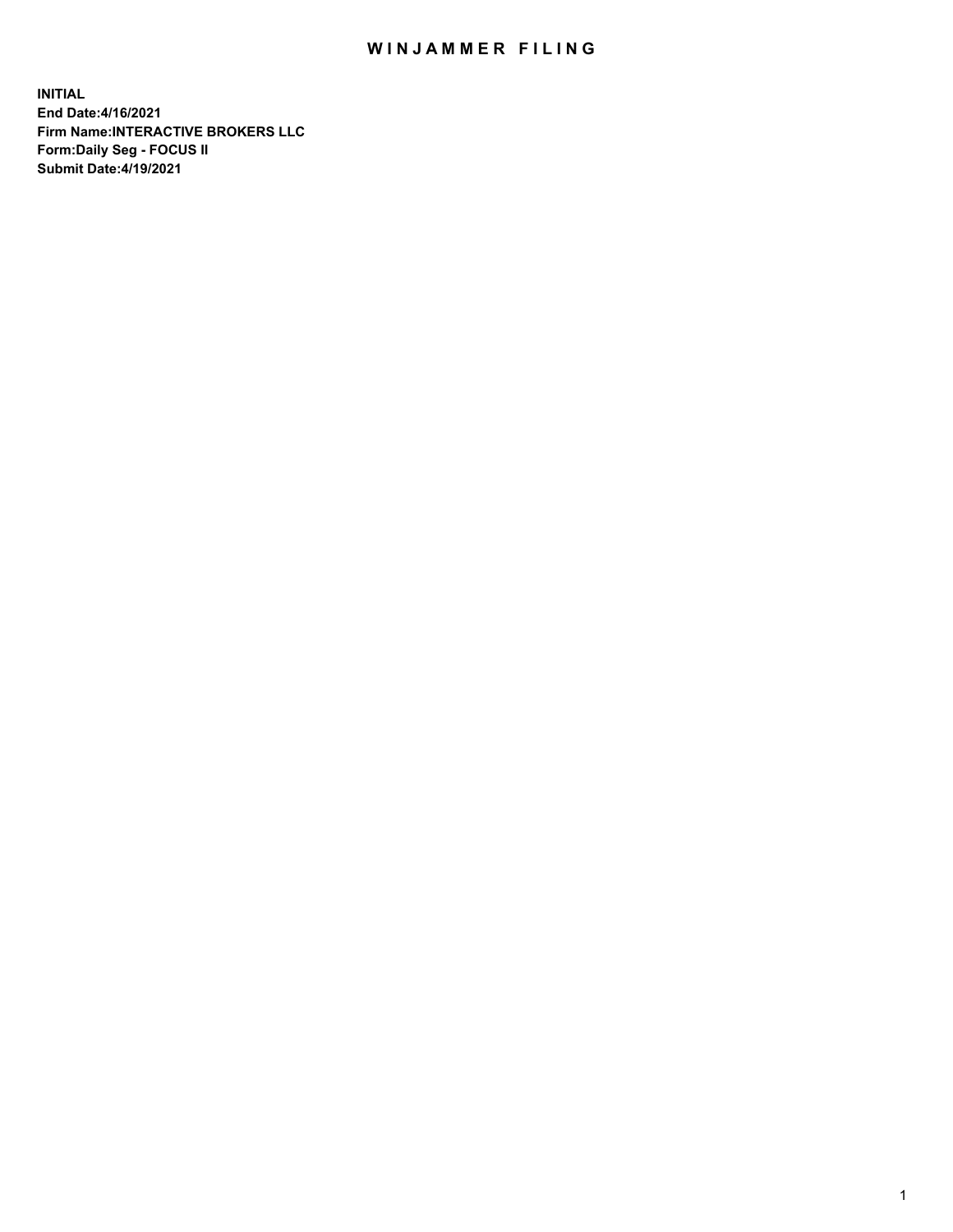## WIN JAMMER FILING

**INITIAL End Date:4/16/2021 Firm Name:INTERACTIVE BROKERS LLC Form:Daily Seg - FOCUS II Submit Date:4/19/2021**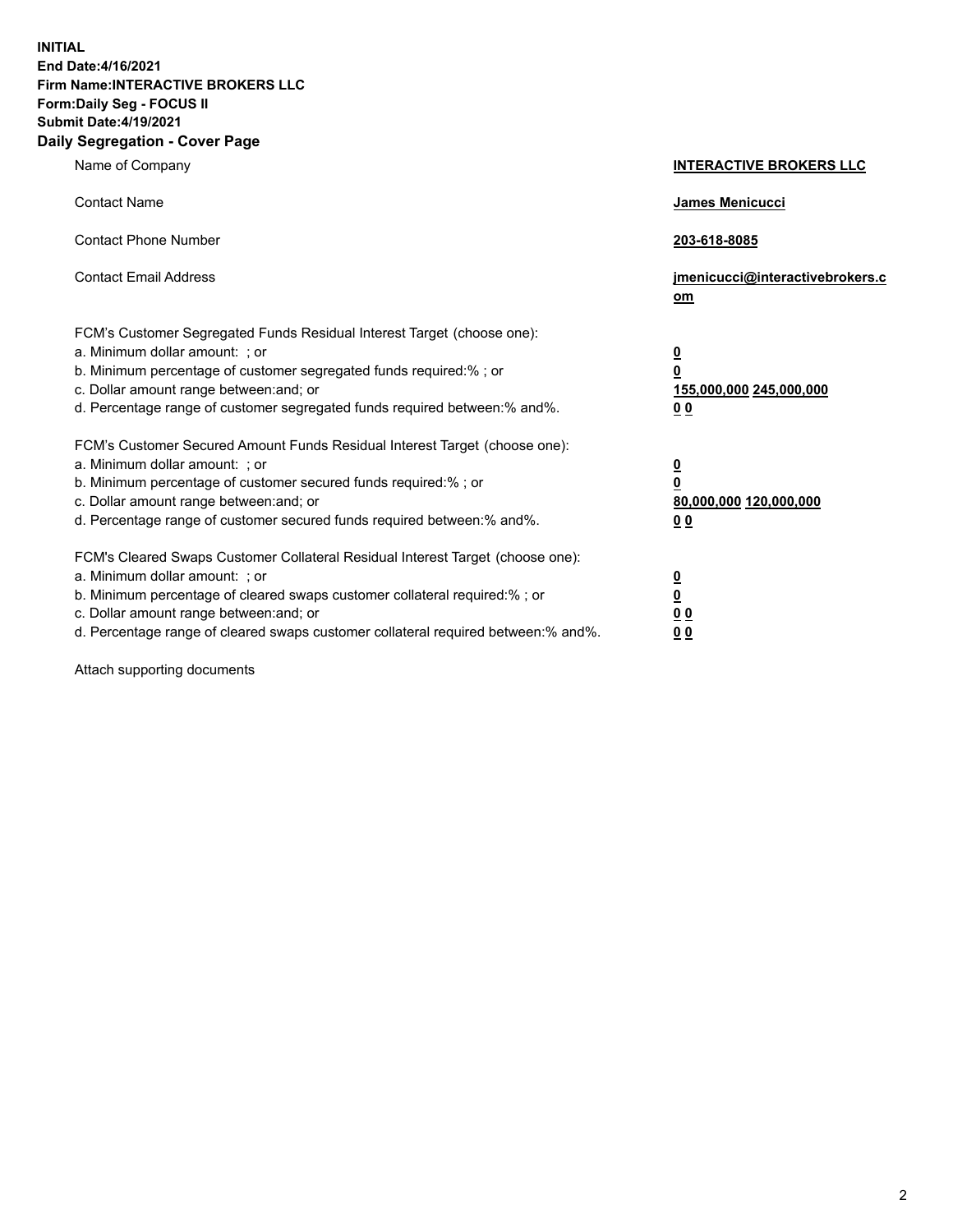**INITIAL End Date:4/16/2021 Firm Name:INTERACTIVE BROKERS LLC Form:Daily Seg - FOCUS II Submit Date:4/19/2021 Daily Segregation - Cover Page**

| Name of Company                                                                                                                                                                                                                                                                                                               | <b>INTERACTIVE BROKERS LLC</b>                                                            |
|-------------------------------------------------------------------------------------------------------------------------------------------------------------------------------------------------------------------------------------------------------------------------------------------------------------------------------|-------------------------------------------------------------------------------------------|
| <b>Contact Name</b>                                                                                                                                                                                                                                                                                                           | James Menicucci                                                                           |
| <b>Contact Phone Number</b>                                                                                                                                                                                                                                                                                                   | 203-618-8085                                                                              |
| <b>Contact Email Address</b>                                                                                                                                                                                                                                                                                                  | jmenicucci@interactivebrokers.c<br><u>om</u>                                              |
| FCM's Customer Segregated Funds Residual Interest Target (choose one):<br>a. Minimum dollar amount: ; or<br>b. Minimum percentage of customer segregated funds required:% ; or<br>c. Dollar amount range between: and; or<br>d. Percentage range of customer segregated funds required between: % and %.                      | $\overline{\mathbf{0}}$<br>0<br>155,000,000 245,000,000<br>0 <sub>0</sub>                 |
| FCM's Customer Secured Amount Funds Residual Interest Target (choose one):<br>a. Minimum dollar amount: ; or<br>b. Minimum percentage of customer secured funds required:%; or<br>c. Dollar amount range between: and; or<br>d. Percentage range of customer secured funds required between:% and%.                           | <u>0</u><br>$\overline{\mathbf{0}}$<br>80,000,000 120,000,000<br>00                       |
| FCM's Cleared Swaps Customer Collateral Residual Interest Target (choose one):<br>a. Minimum dollar amount: ; or<br>b. Minimum percentage of cleared swaps customer collateral required:%; or<br>c. Dollar amount range between: and; or<br>d. Percentage range of cleared swaps customer collateral required between:% and%. | <u>0</u><br>$\underline{\mathbf{0}}$<br>$\underline{0}$ $\underline{0}$<br>0 <sub>0</sub> |

Attach supporting documents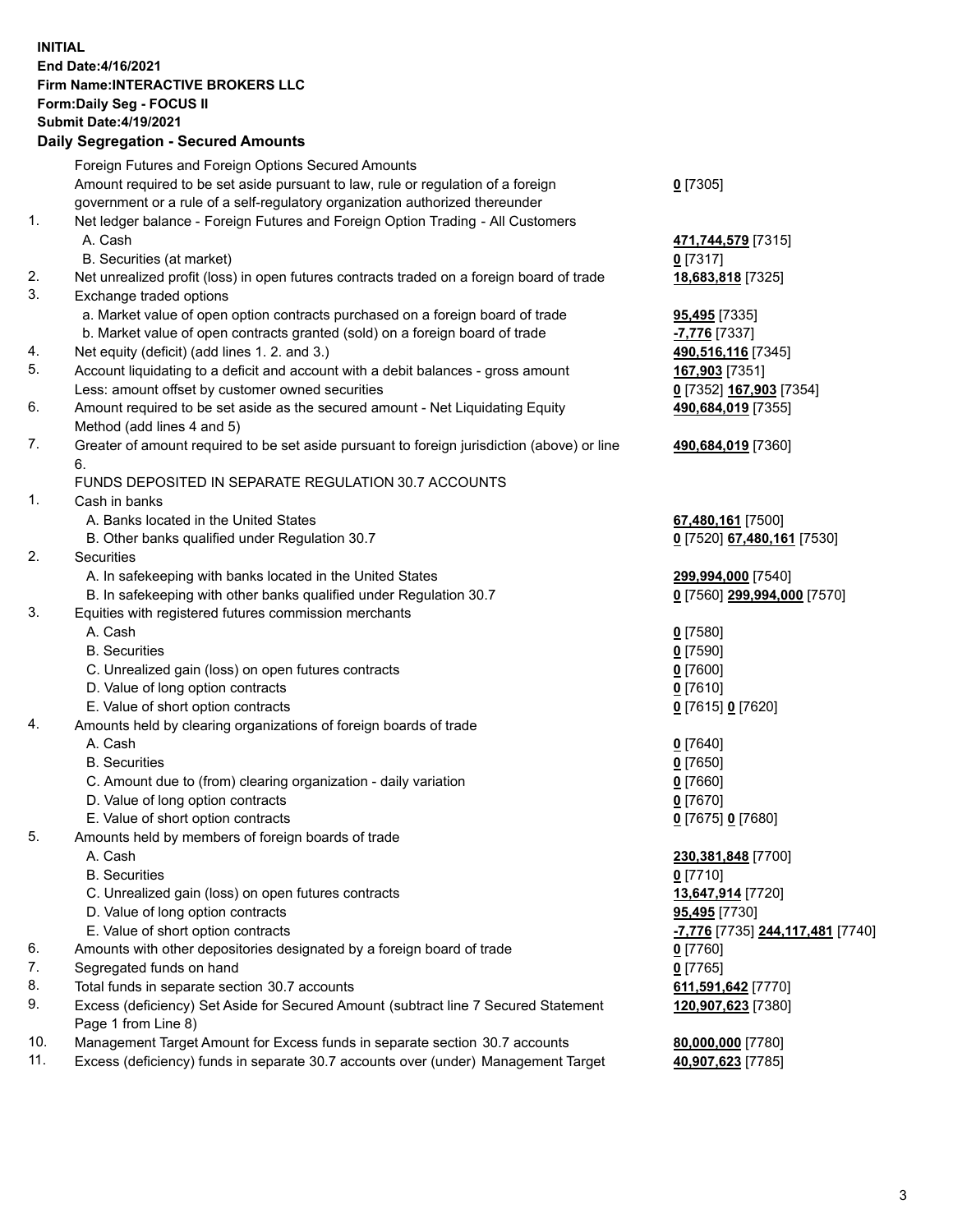## **INITIAL End Date:4/16/2021 Firm Name:INTERACTIVE BROKERS LLC Form:Daily Seg - FOCUS II Submit Date:4/19/2021 Daily Segregation - Secured Amounts**

|     | Daily Jegregation - Jeculed Aniounts                                                                       |                                               |
|-----|------------------------------------------------------------------------------------------------------------|-----------------------------------------------|
|     | Foreign Futures and Foreign Options Secured Amounts                                                        |                                               |
|     | Amount required to be set aside pursuant to law, rule or regulation of a foreign                           | $0$ [7305]                                    |
|     | government or a rule of a self-regulatory organization authorized thereunder                               |                                               |
| 1.  | Net ledger balance - Foreign Futures and Foreign Option Trading - All Customers                            |                                               |
|     | A. Cash                                                                                                    | 471,744,579 [7315]                            |
|     | B. Securities (at market)                                                                                  | 0 [7317]                                      |
| 2.  | Net unrealized profit (loss) in open futures contracts traded on a foreign board of trade                  | 18,683,818 [7325]                             |
| 3.  | Exchange traded options                                                                                    |                                               |
|     | a. Market value of open option contracts purchased on a foreign board of trade                             | <b>95,495</b> [7335]                          |
|     | b. Market value of open contracts granted (sold) on a foreign board of trade                               | -7,776 [7337]                                 |
| 4.  | Net equity (deficit) (add lines 1. 2. and 3.)                                                              | 490,516,116 [7345]                            |
| 5.  | Account liquidating to a deficit and account with a debit balances - gross amount                          | 167,903 [7351]                                |
|     | Less: amount offset by customer owned securities                                                           | 0 [7352] 167,903 [7354]                       |
| 6.  | Amount required to be set aside as the secured amount - Net Liquidating Equity                             | 490,684,019 [7355]                            |
|     | Method (add lines 4 and 5)                                                                                 |                                               |
| 7.  | Greater of amount required to be set aside pursuant to foreign jurisdiction (above) or line                | 490,684,019 [7360]                            |
|     | 6.                                                                                                         |                                               |
|     | FUNDS DEPOSITED IN SEPARATE REGULATION 30.7 ACCOUNTS                                                       |                                               |
| 1.  | Cash in banks                                                                                              |                                               |
|     | A. Banks located in the United States                                                                      | 67,480,161 [7500]                             |
|     | B. Other banks qualified under Regulation 30.7                                                             | 0 [7520] 67,480,161 [7530]                    |
| 2.  | Securities                                                                                                 |                                               |
|     | A. In safekeeping with banks located in the United States                                                  | 299,994,000 [7540]                            |
|     | B. In safekeeping with other banks qualified under Regulation 30.7                                         | 0 [7560] 299,994,000 [7570]                   |
| 3.  | Equities with registered futures commission merchants                                                      |                                               |
|     | A. Cash                                                                                                    | $0$ [7580]                                    |
|     | <b>B.</b> Securities                                                                                       | $0$ [7590]                                    |
|     | C. Unrealized gain (loss) on open futures contracts                                                        | $0$ [7600]                                    |
|     | D. Value of long option contracts                                                                          | $0$ [7610]                                    |
|     | E. Value of short option contracts                                                                         | 0 [7615] 0 [7620]                             |
| 4.  | Amounts held by clearing organizations of foreign boards of trade                                          |                                               |
|     | A. Cash                                                                                                    | $0$ [7640]                                    |
|     | <b>B.</b> Securities                                                                                       | $0$ [7650]                                    |
|     | C. Amount due to (from) clearing organization - daily variation                                            | $0$ [7660]                                    |
|     | D. Value of long option contracts                                                                          | $0$ [7670]                                    |
|     | E. Value of short option contracts                                                                         | 0 [7675] 0 [7680]                             |
| 5.  | Amounts held by members of foreign boards of trade                                                         |                                               |
|     | A. Cash                                                                                                    | 230,381,848 [7700]                            |
|     | <b>B.</b> Securities                                                                                       | $0$ [7710]                                    |
|     | C. Unrealized gain (loss) on open futures contracts                                                        | 13,647,914 [7720]                             |
|     | D. Value of long option contracts                                                                          | 95,495 [7730]                                 |
|     | E. Value of short option contracts                                                                         | <mark>-7,776</mark> [7735] 244,117,481 [7740] |
| 6.  | Amounts with other depositories designated by a foreign board of trade                                     | 0 [7760]                                      |
| 7.  | Segregated funds on hand                                                                                   | $0$ [7765]                                    |
| 8.  | Total funds in separate section 30.7 accounts                                                              | 611,591,642 [7770]                            |
| 9.  | Excess (deficiency) Set Aside for Secured Amount (subtract line 7 Secured Statement<br>Page 1 from Line 8) | 120,907,623 [7380]                            |
| 10. | Management Target Amount for Excess funds in separate section 30.7 accounts                                | 80,000,000 [7780]                             |
| 11. | Excess (deficiency) funds in separate 30.7 accounts over (under) Management Target                         | 40,907,623 [7785]                             |
|     |                                                                                                            |                                               |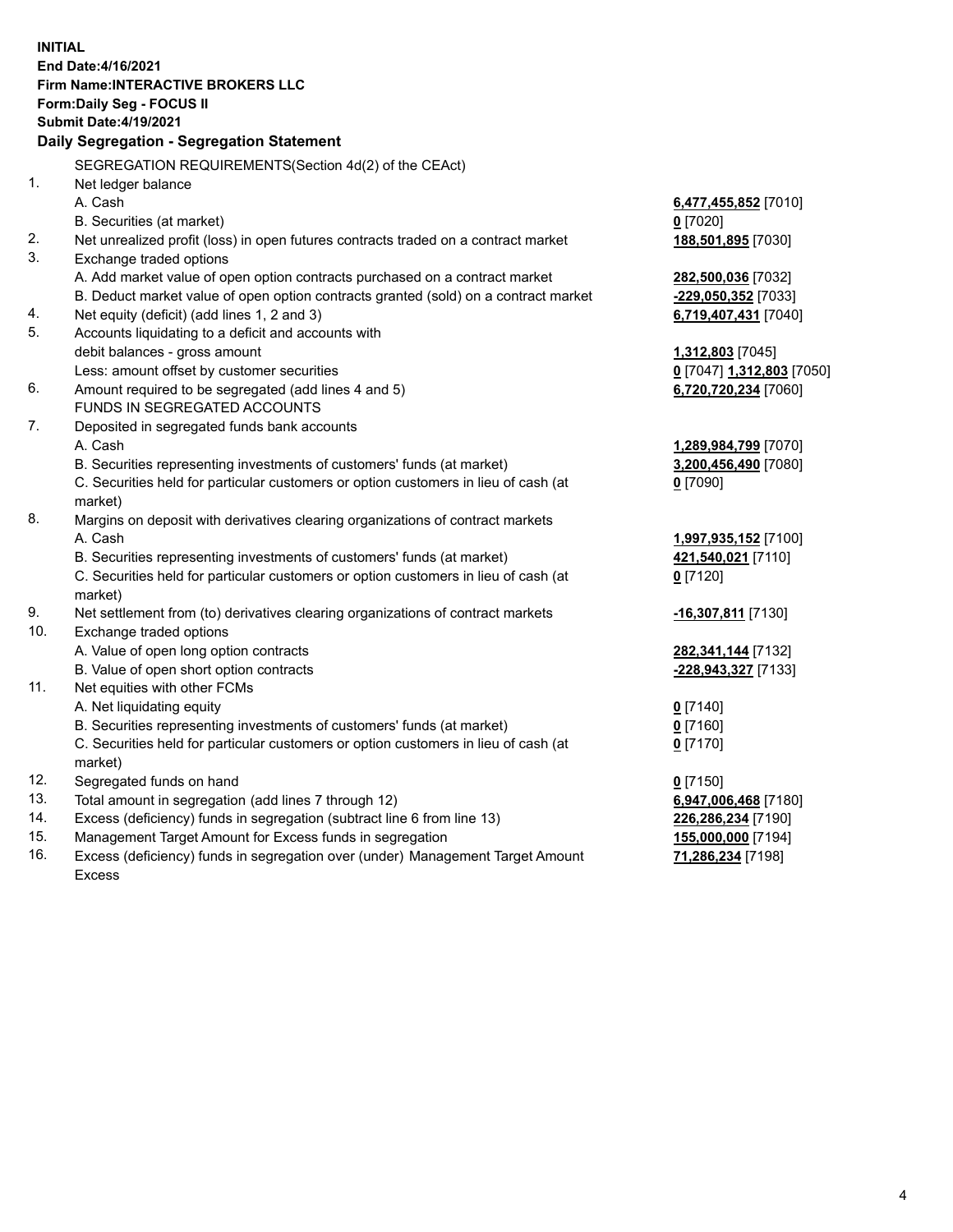**INITIAL End Date:4/16/2021 Firm Name:INTERACTIVE BROKERS LLC Form:Daily Seg - FOCUS II Submit Date:4/19/2021 Daily Segregation - Segregation Statement** SEGREGATION REQUIREMENTS(Section 4d(2) of the CEAct) 1. Net ledger balance A. Cash **6,477,455,852** [7010] B. Securities (at market) **0** [7020] 2. Net unrealized profit (loss) in open futures contracts traded on a contract market **188,501,895** [7030] 3. Exchange traded options A. Add market value of open option contracts purchased on a contract market **282,500,036** [7032] B. Deduct market value of open option contracts granted (sold) on a contract market **-229,050,352** [7033] 4. Net equity (deficit) (add lines 1, 2 and 3) **6,719,407,431** [7040] 5. Accounts liquidating to a deficit and accounts with debit balances - gross amount **1,312,803** [7045] Less: amount offset by customer securities **0** [7047] **1,312,803** [7050] 6. Amount required to be segregated (add lines 4 and 5) **6,720,720,234** [7060] FUNDS IN SEGREGATED ACCOUNTS 7. Deposited in segregated funds bank accounts A. Cash **1,289,984,799** [7070] B. Securities representing investments of customers' funds (at market) **3,200,456,490** [7080] C. Securities held for particular customers or option customers in lieu of cash (at market) **0** [7090] 8. Margins on deposit with derivatives clearing organizations of contract markets A. Cash **1,997,935,152** [7100] B. Securities representing investments of customers' funds (at market) **421,540,021** [7110] C. Securities held for particular customers or option customers in lieu of cash (at market) **0** [7120] 9. Net settlement from (to) derivatives clearing organizations of contract markets **-16,307,811** [7130] 10. Exchange traded options A. Value of open long option contracts **282,341,144** [7132] B. Value of open short option contracts **-228,943,327** [7133] 11. Net equities with other FCMs A. Net liquidating equity **0** [7140] B. Securities representing investments of customers' funds (at market) **0** [7160] C. Securities held for particular customers or option customers in lieu of cash (at market) **0** [7170] 12. Segregated funds on hand **0** [7150] 13. Total amount in segregation (add lines 7 through 12) **6,947,006,468** [7180] 14. Excess (deficiency) funds in segregation (subtract line 6 from line 13) **226,286,234** [7190] 15. Management Target Amount for Excess funds in segregation **155,000,000** [7194] 16. Excess (deficiency) funds in segregation over (under) Management Target Amount **71,286,234** [7198]

Excess